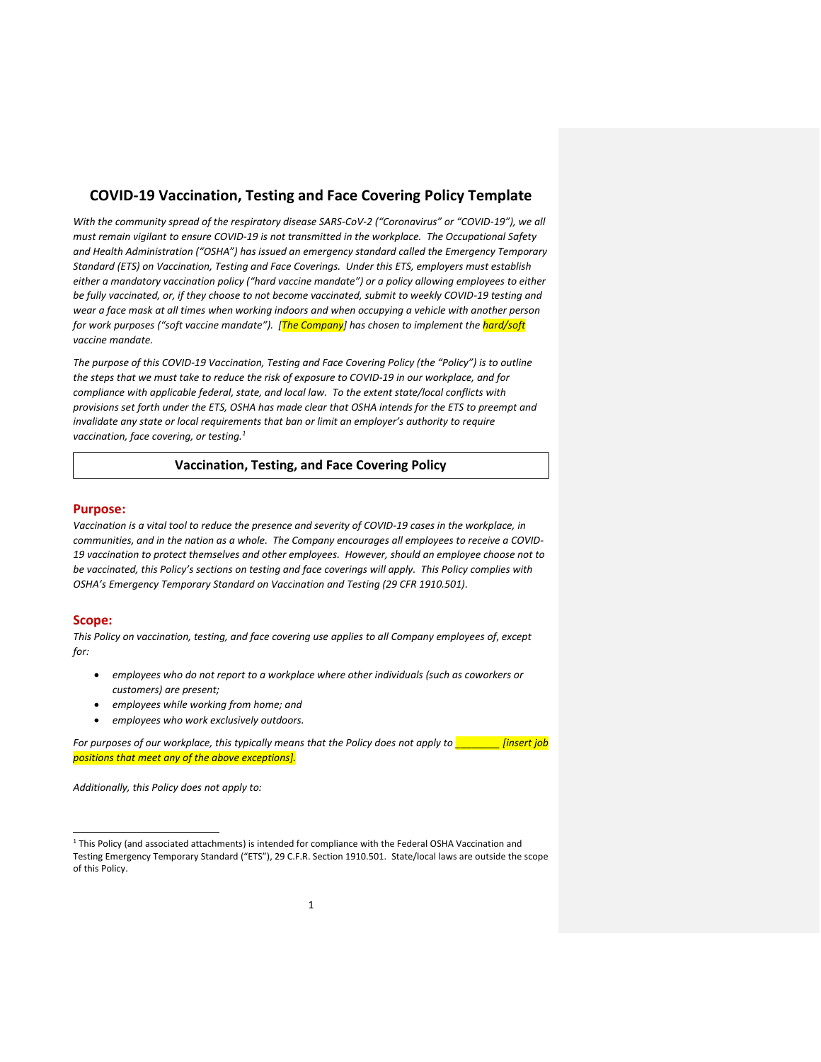# **COVID-19 Vaccination, Testing and Face Covering Policy Template**

*With the community spread of the respiratory disease SARS-CoV-2 ("Coronavirus" or "COVID-19"), we all must remain vigilant to ensure COVID-19 is not transmitted in the workplace. The Occupational Safety and Health Administration ("OSHA") has issued an emergency standard called the Emergency Temporary Standard (ETS) on Vaccination, Testing and Face Coverings. Under this ETS, employers must establish either a mandatory vaccination policy ("hard vaccine mandate") or a policy allowing employees to either be fully vaccinated, or, if they choose to not become vaccinated, submit to weekly COVID-19 testing and wear a face mask at all times when working indoors and when occupying a vehicle with another person for work purposes ("soft vaccine mandate"). [The Company] has chosen to implement the hard/soft vaccine mandate.* 

*The purpose of this COVID-19 Vaccination, Testing and Face Covering Policy (the "Policy") is to outline the steps that we must take to reduce the risk of exposure to COVID-19 in our workplace, and for compliance with applicable federal, state, and local law. To the extent state/local conflicts with provisions set forth under the ETS, OSHA has made clear that OSHA intends for the ETS to preempt and invalidate any state or local requirements that ban or limit an employer's authority to require vaccination, face covering, or testing.<sup>1</sup>*

## **Vaccination, Testing, and Face Covering Policy**

#### **Purpose:**

Vaccination is a vital tool to reduce the presence and severity of COVID-19 cases in the workplace, in *communities, and in the nation as a whole. The Company encourages all employees to receive a COVID-19 vaccination to protect themselves and other employees. However, should an employee choose not to be vaccinated, this Policy's sections on testing and face coverings will apply. This Policy complies with OSHA's Emergency Temporary Standard on Vaccination and Testing (29 CFR 1910.501).*

#### **Scope:**

*This Policy on vaccination, testing, and face covering use applies to all Company employees of*, *except for:*

- *employees who do not report to a workplace where other individuals (such as coworkers or customers) are present;*
- *employees while working from home; and*
- *employees who work exclusively outdoors.*

*For purposes of our workplace, this typically means that the Policy does not apply to \_\_\_\_\_\_\_\_ [insert job positions that meet any of the above exceptions].*

*Additionally, this Policy does not apply to:*

<sup>&</sup>lt;sup>1</sup> This Policy (and associated attachments) is intended for compliance with the Federal OSHA Vaccination and Testing Emergency Temporary Standard ("ETS"), 29 C.F.R. Section 1910.501. State/local laws are outside the scope of this Policy.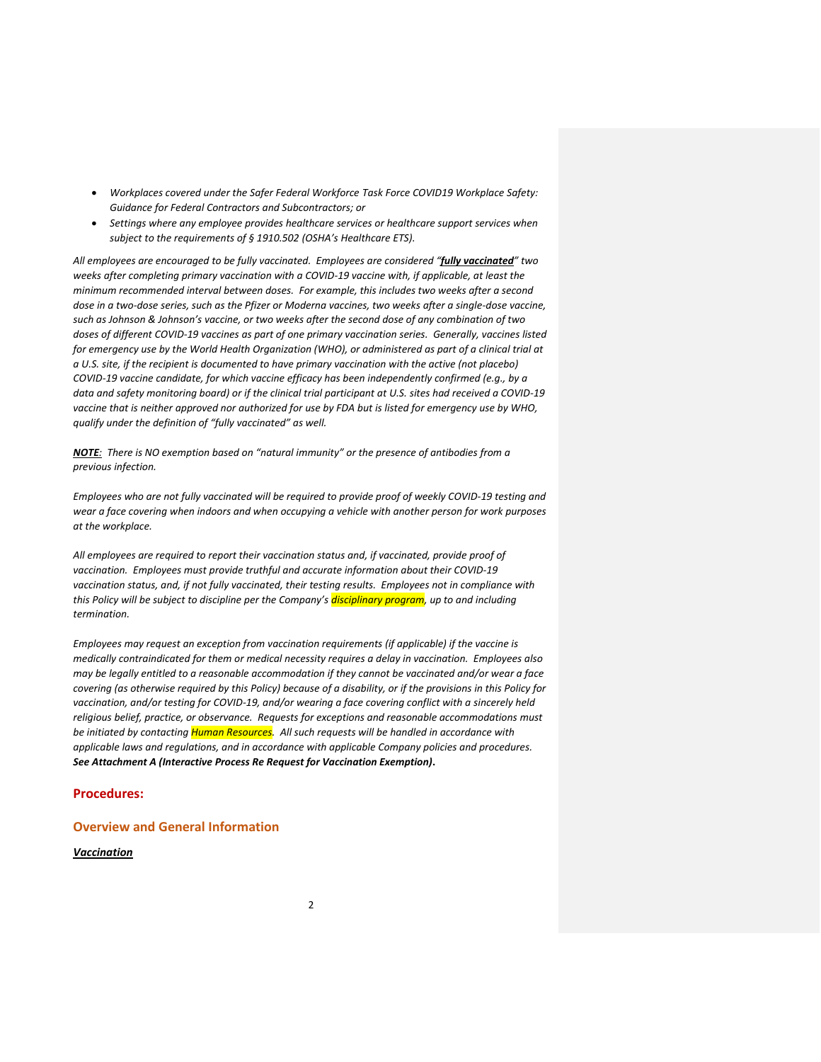- *Workplaces covered under the Safer Federal Workforce Task Force COVID19 Workplace Safety: Guidance for Federal Contractors and Subcontractors; or*
- *Settings where any employee provides healthcare services or healthcare support services when subject to the requirements of § 1910.502 (OSHA's Healthcare ETS).*

*All employees are encouraged to be fully vaccinated. Employees are considered "fully vaccinated" two weeks after completing primary vaccination with a COVID-19 vaccine with, if applicable, at least the minimum recommended interval between doses. For example, this includes two weeks after a second dose in a two-dose series, such as the Pfizer or Moderna vaccines, two weeks after a single-dose vaccine, such as Johnson & Johnson's vaccine, or two weeks after the second dose of any combination of two doses of different COVID-19 vaccines as part of one primary vaccination series. Generally, vaccines listed for emergency use by the World Health Organization (WHO), or administered as part of a clinical trial at a U.S. site, if the recipient is documented to have primary vaccination with the active (not placebo) COVID-19 vaccine candidate, for which vaccine efficacy has been independently confirmed (e.g., by a data and safety monitoring board) or if the clinical trial participant at U.S. sites had received a COVID-19 vaccine that is neither approved nor authorized for use by FDA but is listed for emergency use by WHO, qualify under the definition of "fully vaccinated" as well.* 

*NOTE: There is NO exemption based on "natural immunity" or the presence of antibodies from a previous infection.*

*Employees who are not fully vaccinated will be required to provide proof of weekly COVID-19 testing and wear a face covering when indoors and when occupying a vehicle with another person for work purposes at the workplace.* 

*All employees are required to report their vaccination status and, if vaccinated, provide proof of vaccination. Employees must provide truthful and accurate information about their COVID-19 vaccination status, and, if not fully vaccinated, their testing results. Employees not in compliance with this Policy will be subject to discipline per the Company's disciplinary program, up to and including termination.* 

*Employees may request an exception from vaccination requirements (if applicable) if the vaccine is medically contraindicated for them or medical necessity requires a delay in vaccination. Employees also may be legally entitled to a reasonable accommodation if they cannot be vaccinated and/or wear a face covering (as otherwise required by this Policy) because of a disability, or if the provisions in this Policy for vaccination, and/or testing for COVID-19, and/or wearing a face covering conflict with a sincerely held religious belief, practice, or observance. Requests for exceptions and reasonable accommodations must be initiated by contacting Human Resources. All such requests will be handled in accordance with applicable laws and regulations, and in accordance with applicable Company policies and procedures. See Attachment A (Interactive Process Re Request for Vaccination Exemption)***.**

### **Procedures:**

## **Overview and General Information**

#### *Vaccination*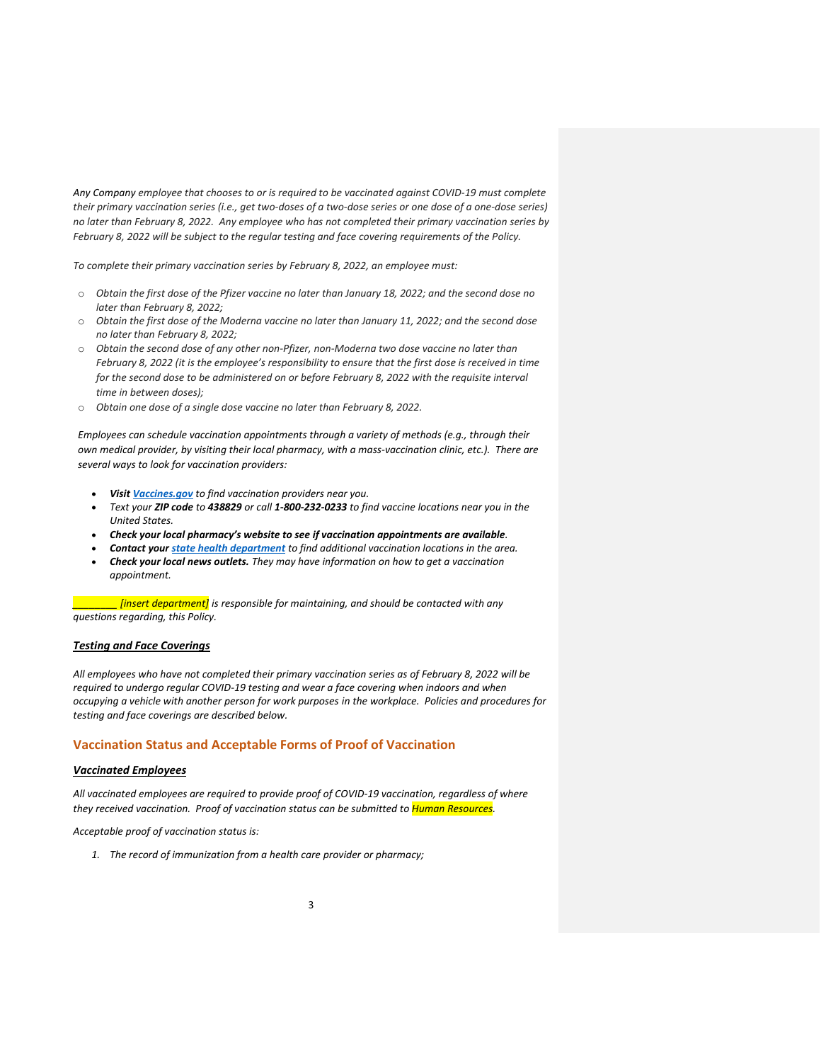*Any Company employee that chooses to or is required to be vaccinated against COVID-19 must complete their primary vaccination series (i.e., get two-doses of a two-dose series or one dose of a one-dose series) no later than February 8, 2022. Any employee who has not completed their primary vaccination series by February 8, 2022 will be subject to the regular testing and face covering requirements of the Policy.* 

*To complete their primary vaccination series by February 8, 2022, an employee must:*

- o *Obtain the first dose of the Pfizer vaccine no later than January 18, 2022; and the second dose no later than February 8, 2022;*
- o *Obtain the first dose of the Moderna vaccine no later than January 11, 2022; and the second dose no later than February 8, 2022;*
- o *Obtain the second dose of any other non-Pfizer, non-Moderna two dose vaccine no later than February 8, 2022 (it is the employee's responsibility to ensure that the first dose is received in time for the second dose to be administered on or before February 8, 2022 with the requisite interval time in between doses);*
- o *Obtain one dose of a single dose vaccine no later than February 8, 2022.*

*Employees can schedule vaccination appointments through a variety of methods (e.g., through their own medical provider, by visiting their local pharmacy, with a mass-vaccination clinic, etc.). There are several ways to look for vaccination providers:*

- *Visit [Vaccines.gov](https://www.vaccines.gov/) to find vaccination providers near you.*
- *Text your ZIP code to 438829 or call 1-800-232-0233 to find vaccine locations near you in the United States.*
- *Check your local pharmacy's website to see if vaccination appointments are available.*
- *Contact your [state health department](https://www.cdc.gov/publichealthgateway/healthdirectories/healthdepartments.html) to find additional vaccination locations in the area.*
- *Check your local news outlets. They may have information on how to get a vaccination appointment.*

*\_\_\_\_\_\_\_\_ [insert department] is responsible for maintaining, and should be contacted with any questions regarding, this Policy.* 

### *Testing and Face Coverings*

*All employees who have not completed their primary vaccination series as of February 8, 2022 will be required to undergo regular COVID-19 testing and wear a face covering when indoors and when occupying a vehicle with another person for work purposes in the workplace. Policies and procedures for testing and face coverings are described below.* 

## **Vaccination Status and Acceptable Forms of Proof of Vaccination**

#### *Vaccinated Employees*

*All vaccinated employees are required to provide proof of COVID-19 vaccination, regardless of where they received vaccination. Proof of vaccination status can be submitted to Human Resources.*

#### *Acceptable proof of vaccination status is:*

*1. The record of immunization from a health care provider or pharmacy;*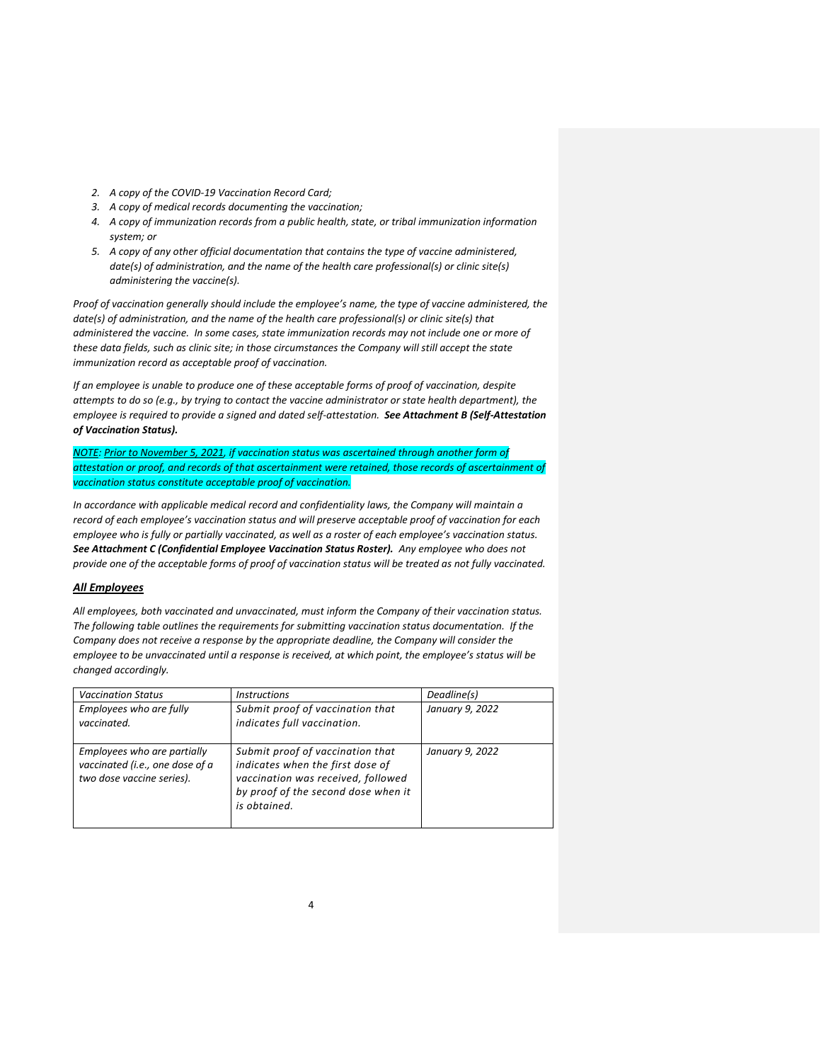- *2. A copy of the COVID-19 Vaccination Record Card;*
- *3. A copy of medical records documenting the vaccination;*
- *4. A copy of immunization records from a public health, state, or tribal immunization information system; or*
- *5. A copy of any other official documentation that contains the type of vaccine administered, date(s) of administration, and the name of the health care professional(s) or clinic site(s) administering the vaccine(s).*

*Proof of vaccination generally should include the employee's name, the type of vaccine administered, the date(s) of administration, and the name of the health care professional(s) or clinic site(s) that administered the vaccine. In some cases, state immunization records may not include one or more of these data fields, such as clinic site; in those circumstances the Company will still accept the state immunization record as acceptable proof of vaccination.*

*If an employee is unable to produce one of these acceptable forms of proof of vaccination, despite attempts to do so (e.g., by trying to contact the vaccine administrator or state health department), the employee is required to provide a signed and dated self-attestation. See Attachment B (Self-Attestation of Vaccination Status).* 

*NOTE: Prior to November 5, 2021, if vaccination status was ascertained through another form of attestation or proof, and records of that ascertainment were retained, those records of ascertainment of vaccination status constitute acceptable proof of vaccination.*

*In accordance with applicable medical record and confidentiality laws, the Company will maintain a record of each employee's vaccination status and will preserve acceptable proof of vaccination for each employee who is fully or partially vaccinated, as well as a roster of each employee's vaccination status. See Attachment C (Confidential Employee Vaccination Status Roster). Any employee who does not provide one of the acceptable forms of proof of vaccination status will be treated as not fully vaccinated.*

### *All Employees*

*All employees, both vaccinated and unvaccinated, must inform the Company of their vaccination status. The following table outlines the requirements for submitting vaccination status documentation. If the Company does not receive a response by the appropriate deadline, the Company will consider the employee to be unvaccinated until a response is received, at which point, the employee's status will be changed accordingly.* 

| <b>Vaccination Status</b>                                                                   | <i><u><b>Instructions</b></u></i>                                                                                                                                 | Deadline(s)     |
|---------------------------------------------------------------------------------------------|-------------------------------------------------------------------------------------------------------------------------------------------------------------------|-----------------|
| Employees who are fully<br>vaccinated.                                                      | Submit proof of vaccination that<br>indicates full vaccination.                                                                                                   | January 9, 2022 |
| Employees who are partially<br>vaccinated (i.e., one dose of a<br>two dose vaccine series). | Submit proof of vaccination that<br>indicates when the first dose of<br>vaccination was received, followed<br>by proof of the second dose when it<br>is obtained. | January 9, 2022 |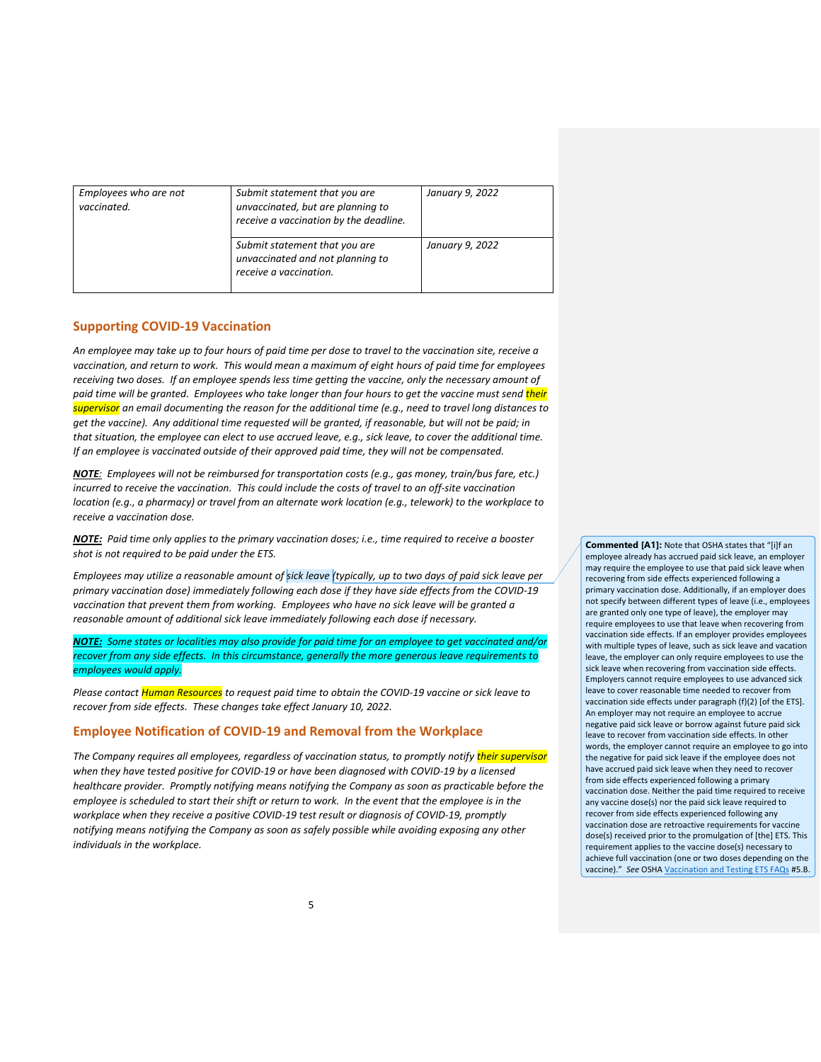| Employees who are not<br>vaccinated. | Submit statement that you are<br>unvaccinated, but are planning to<br>receive a vaccination by the deadline. | January 9, 2022 |
|--------------------------------------|--------------------------------------------------------------------------------------------------------------|-----------------|
|                                      | Submit statement that you are<br>unvaccinated and not planning to<br>receive a vaccination.                  | January 9, 2022 |

### **Supporting COVID-19 Vaccination**

*An employee may take up to four hours of paid time per dose to travel to the vaccination site, receive a vaccination, and return to work. This would mean a maximum of eight hours of paid time for employees receiving two doses. If an employee spends less time getting the vaccine, only the necessary amount of paid time will be granted. Employees who take longer than four hours to get the vaccine must send their supervisor an email documenting the reason for the additional time (e.g., need to travel long distances to get the vaccine). Any additional time requested will be granted, if reasonable, but will not be paid; in that situation, the employee can elect to use accrued leave, e.g., sick leave, to cover the additional time. If an employee is vaccinated outside of their approved paid time, they will not be compensated.*

*NOTE: Employees will not be reimbursed for transportation costs (e.g., gas money, train/bus fare, etc.) incurred to receive the vaccination. This could include the costs of travel to an off-site vaccination location (e.g., a pharmacy) or travel from an alternate work location (e.g., telework) to the workplace to receive a vaccination dose.*

*NOTE: Paid time only applies to the primary vaccination doses; i.e., time required to receive a booster shot is not required to be paid under the ETS.*

*Employees may utilize a reasonable amount of sick leave (typically, up to two days of paid sick leave per primary vaccination dose) immediately following each dose if they have side effects from the COVID-19 vaccination that prevent them from working. Employees who have no sick leave will be granted a reasonable amount of additional sick leave immediately following each dose if necessary.*

*NOTE: Some states or localities may also provide for paid time for an employee to get vaccinated and/or recover from any side effects. In this circumstance, generally the more generous leave requirements to employees would apply.*

*Please contact Human Resources to request paid time to obtain the COVID-19 vaccine or sick leave to recover from side effects. These changes take effect January 10, 2022.* 

#### **Employee Notification of COVID-19 and Removal from the Workplace**

*The Company requires all employees, regardless of vaccination status, to promptly notify their supervisor when they have tested positive for COVID-19 or have been diagnosed with COVID-19 by a licensed healthcare provider. Promptly notifying means notifying the Company as soon as practicable before the employee is scheduled to start their shift or return to work. In the event that the employee is in the workplace when they receive a positive COVID-19 test result or diagnosis of COVID-19, promptly notifying means notifying the Company as soon as safely possible while avoiding exposing any other individuals in the workplace.*

**Commented [A1]:** Note that OSHA states that "[i]f an employee already has accrued paid sick leave, an employer may require the employee to use that paid sick leave when recovering from side effects experienced following a primary vaccination dose. Additionally, if an employer does not specify between different types of leave (i.e., employees are granted only one type of leave), the employer may require employees to use that leave when recovering from vaccination side effects. If an employer provides employees with multiple types of leave, such as sick leave and vacation leave, the employer can only require employees to use the sick leave when recovering from vaccination side effects. Employers cannot require employees to use advanced sick leave to cover reasonable time needed to recover from vaccination side effects under paragraph (f)(2) [of the ETS]. An employer may not require an employee to accrue negative paid sick leave or borrow against future paid sick leave to recover from vaccination side effects. In other words, the employer cannot require an employee to go into the negative for paid sick leave if the employee does not have accrued paid sick leave when they need to recover from side effects experienced following a primary vaccination dose. Neither the paid time required to receive any vaccine dose(s) nor the paid sick leave required to recover from side effects experienced following any vaccination dose are retroactive requirements for vaccine dose(s) received prior to the promulgation of [the] ETS. This requirement applies to the vaccine dose(s) necessary to achieve full vaccination (one or two doses depending on the vaccine)." *See* OSH[A Vaccination and Testing ETS FAQs](https://www.osha.gov/coronavirus/ets2/faqs) #5.B.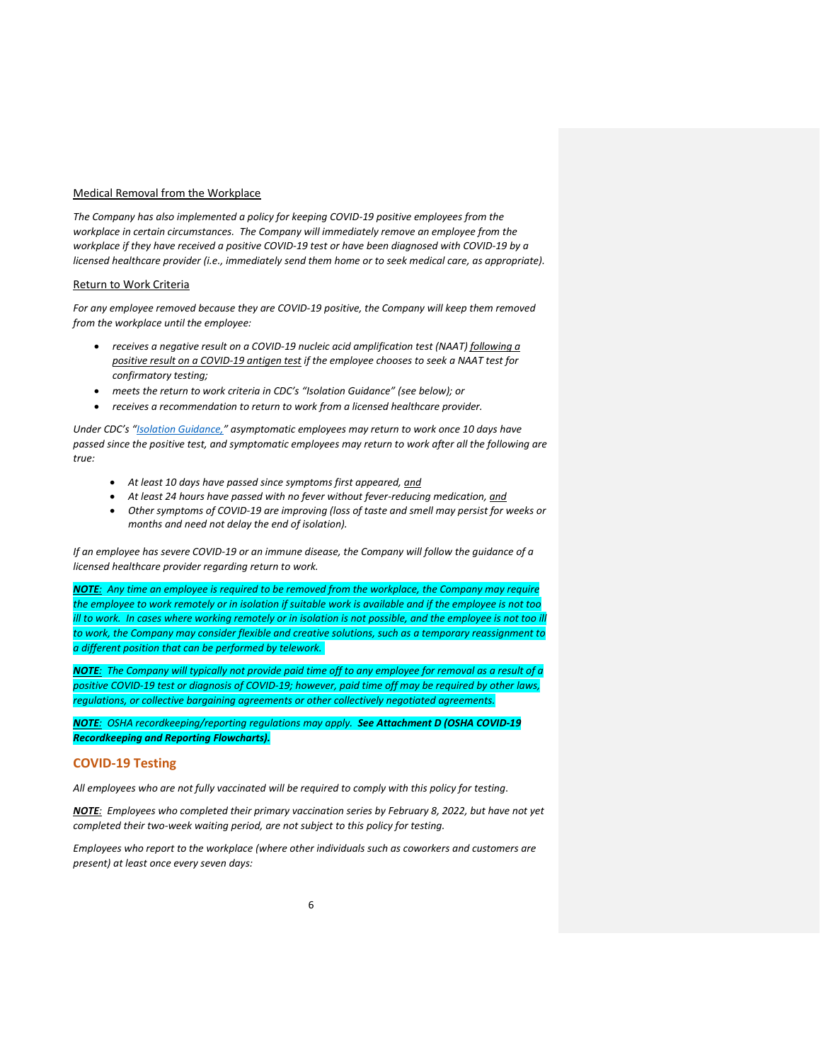#### Medical Removal from the Workplace

*The Company has also implemented a policy for keeping COVID-19 positive employees from the workplace in certain circumstances. The Company will immediately remove an employee from the workplace if they have received a positive COVID-19 test or have been diagnosed with COVID-19 by a licensed healthcare provider (i.e., immediately send them home or to seek medical care, as appropriate).*

#### Return to Work Criteria

*For any employee removed because they are COVID-19 positive, the Company will keep them removed from the workplace until the employee:*

- *receives a negative result on a COVID-19 nucleic acid amplification test (NAAT) following a positive result on a COVID-19 antigen test if the employee chooses to seek a NAAT test for confirmatory testing;*
- *meets the return to work criteria in CDC's "Isolation Guidance" (see below); or*
- *receives a recommendation to return to work from a licensed healthcare provider.*

*Under CDC's "[Isolation Guidance,](https://www.osha.gov/sites/default/files/CDC)" asymptomatic employees may return to work once 10 days have passed since the positive test, and symptomatic employees may return to work after all the following are true:*

- *At least 10 days have passed since symptoms first appeared, and*
- *At least 24 hours have passed with no fever without fever-reducing medication, and*
- *Other symptoms of COVID-19 are improving (loss of taste and smell may persist for weeks or months and need not delay the end of isolation).*

*If an employee has severe COVID-19 or an immune disease, the Company will follow the guidance of a licensed healthcare provider regarding return to work.*

*NOTE: Any time an employee is required to be removed from the workplace, the Company may require the employee to work remotely or in isolation if suitable work is available and if the employee is not too ill to work. In cases where working remotely or in isolation is not possible, and the employee is not too ill to work, the Company may consider flexible and creative solutions, such as a temporary reassignment to a different position that can be performed by telework.*

*NOTE: The Company will typically not provide paid time off to any employee for removal as a result of a positive COVID-19 test or diagnosis of COVID-19; however, paid time off may be required by other laws, regulations, or collective bargaining agreements or other collectively negotiated agreements.*

*NOTE: OSHA recordkeeping/reporting regulations may apply. See Attachment D (OSHA COVID-19 Recordkeeping and Reporting Flowcharts).*

#### **COVID-19 Testing**

*All employees who are not fully vaccinated will be required to comply with this policy for testing*.

*NOTE: Employees who completed their primary vaccination series by February 8, 2022, but have not yet completed their two-week waiting period, are not subject to this policy for testing.* 

*Employees who report to the workplace (where other individuals such as coworkers and customers are present) at least once every seven days:*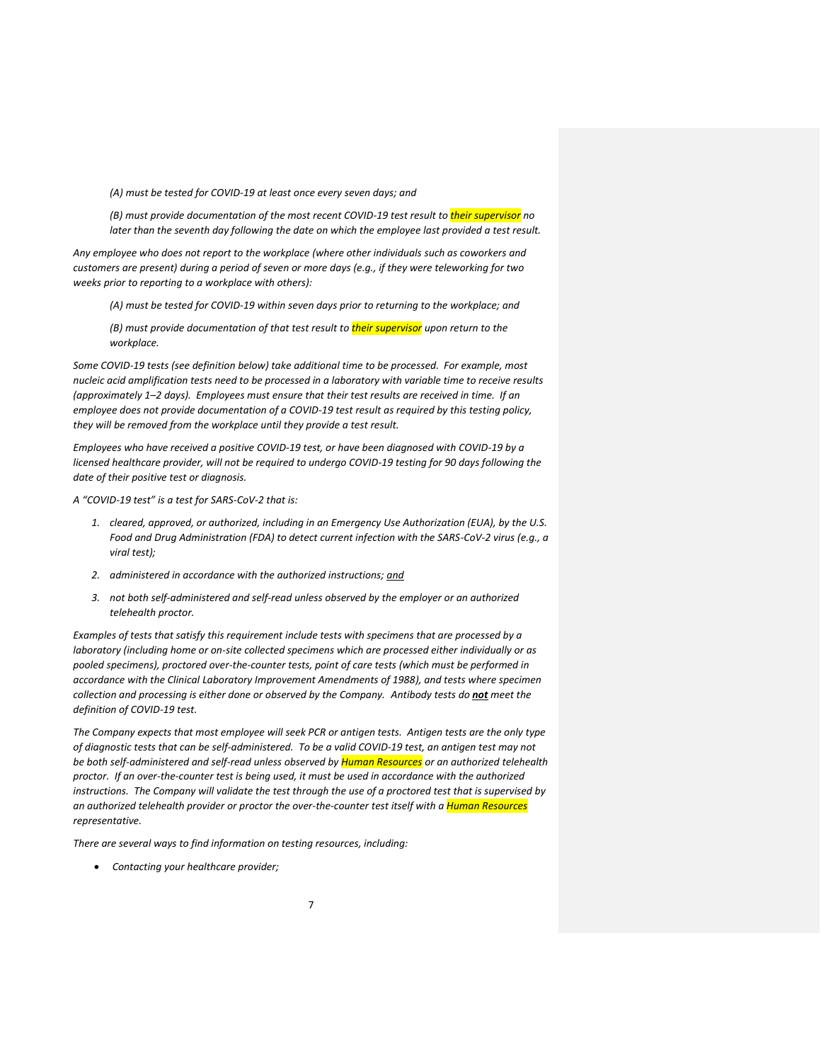*(A) must be tested for COVID-19 at least once every seven days; and*

*(B) must provide documentation of the most recent COVID-19 test result to their supervisor no later than the seventh day following the date on which the employee last provided a test result.*

*Any employee who does not report to the workplace (where other individuals such as coworkers and customers are present) during a period of seven or more days (e.g., if they were teleworking for two weeks prior to reporting to a workplace with others):* 

*(A) must be tested for COVID-19 within seven days prior to returning to the workplace; and*

*(B) must provide documentation of that test result to their supervisor upon return to the workplace.*

*Some COVID-19 tests (see definition below) take additional time to be processed. For example, most nucleic acid amplification tests need to be processed in a laboratory with variable time to receive results (approximately 1–2 days). Employees must ensure that their test results are received in time. If an employee does not provide documentation of a COVID-19 test result as required by this testing policy, they will be removed from the workplace until they provide a test result.* 

*Employees who have received a positive COVID-19 test, or have been diagnosed with COVID-19 by a licensed healthcare provider, will not be required to undergo COVID-19 testing for 90 days following the date of their positive test or diagnosis.*

*A "COVID-19 test" is a test for SARS-CoV-2 that is:*

- *1. cleared, approved, or authorized, including in an Emergency Use Authorization (EUA), by the U.S. Food and Drug Administration (FDA) to detect current infection with the SARS-CoV-2 virus (e.g., a viral test);*
- *2. administered in accordance with the authorized instructions; and*
- *3. not both self-administered and self-read unless observed by the employer or an authorized telehealth proctor.*

*Examples of tests that satisfy this requirement include tests with specimens that are processed by a laboratory (including home or on-site collected specimens which are processed either individually or as pooled specimens), proctored over-the-counter tests, point of care tests (which must be performed in accordance with the Clinical Laboratory Improvement Amendments of 1988), and tests where specimen collection and processing is either done or observed by the Company. Antibody tests do not meet the definition of COVID-19 test.*

*The Company expects that most employee will seek PCR or antigen tests. Antigen tests are the only type of diagnostic tests that can be self-administered. To be a valid COVID-19 test, an antigen test may not be both self-administered and self-read unless observed by Human Resources or an authorized telehealth proctor. If an over-the-counter test is being used, it must be used in accordance with the authorized instructions. The Company will validate the test through the use of a proctored test that is supervised by an authorized telehealth provider or proctor the over-the-counter test itself with a Human Resources representative.*

*There are several ways to find information on testing resources, including:*

• *Contacting your healthcare provider;*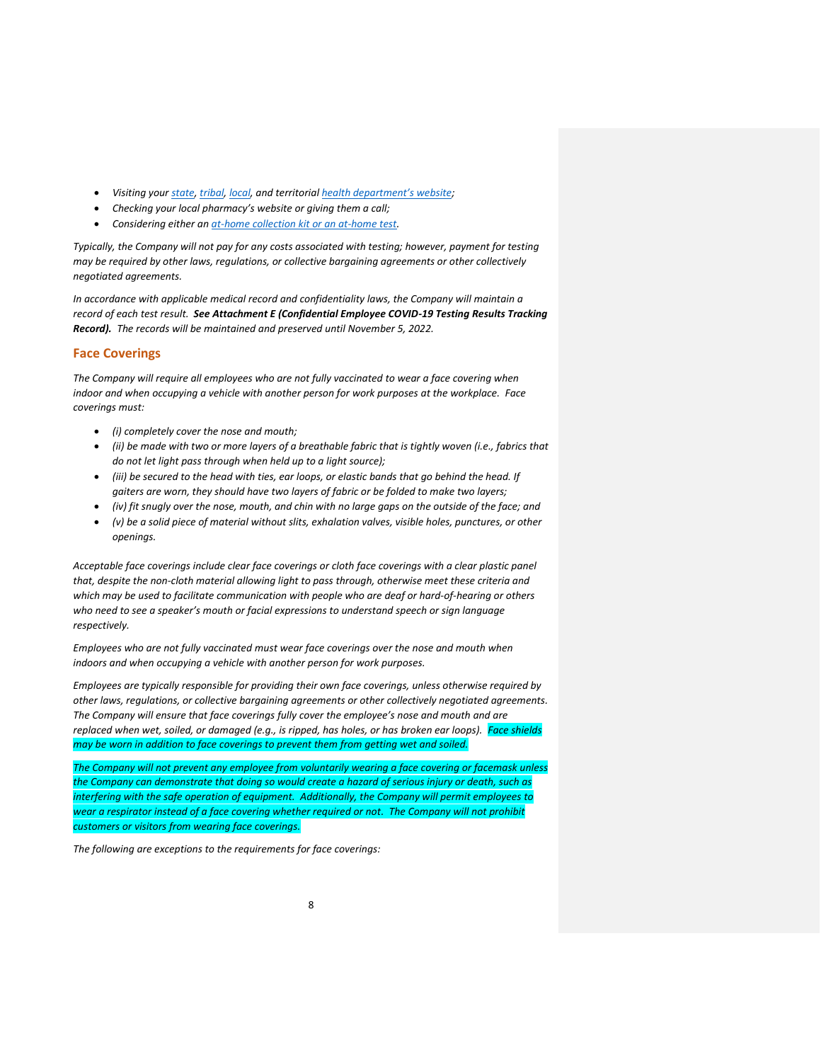- *Visiting your [state,](https://www.cdc.gov/publichealthgateway/healthdirectories/healthdepartments.html) [tribal,](https://www.cdc.gov/tribal/tribes-organizations-health/tribal_groups.html) [local,](https://www.naccho.org/membership/lhd-directory) and territorial [health department's website](https://www.cdc.gov/publichealthgateway/healthdirectories/index.html);*
- *Checking your local pharmacy's website or giving them a call;*
- *Considering either an [at-home collection kit or an at-home test.](https://www.cdc.gov/coronavirus/2019-ncov/testing/self-testing.html)*

*Typically, the Company will not pay for any costs associated with testing; however, payment for testing may be required by other laws, regulations, or collective bargaining agreements or other collectively negotiated agreements.*

*In accordance with applicable medical record and confidentiality laws, the Company will maintain a record of each test result. See Attachment E (Confidential Employee COVID-19 Testing Results Tracking Record). The records will be maintained and preserved until November 5, 2022.* 

## **Face Coverings**

*The Company will require all employees who are not fully vaccinated to wear a face covering when indoor and when occupying a vehicle with another person for work purposes at the workplace. Face coverings must:* 

- *(i) completely cover the nose and mouth;*
- *(ii) be made with two or more layers of a breathable fabric that is tightly woven (i.e., fabrics that do not let light pass through when held up to a light source);*
- *(iii) be secured to the head with ties, ear loops, or elastic bands that go behind the head. If gaiters are worn, they should have two layers of fabric or be folded to make two layers;*
- *(iv) fit snugly over the nose, mouth, and chin with no large gaps on the outside of the face; and*
- *(v) be a solid piece of material without slits, exhalation valves, visible holes, punctures, or other openings.*

*Acceptable face coverings include clear face coverings or cloth face coverings with a clear plastic panel that, despite the non-cloth material allowing light to pass through, otherwise meet these criteria and which may be used to facilitate communication with people who are deaf or hard-of-hearing or others who need to see a speaker's mouth or facial expressions to understand speech or sign language respectively.* 

*Employees who are not fully vaccinated must wear face coverings over the nose and mouth when indoors and when occupying a vehicle with another person for work purposes.* 

*Employees are typically responsible for providing their own face coverings, unless otherwise required by other laws, regulations, or collective bargaining agreements or other collectively negotiated agreements. The Company will ensure that face coverings fully cover the employee's nose and mouth and are replaced when wet, soiled, or damaged (e.g., is ripped, has holes, or has broken ear loops). Face shields may be worn in addition to face coverings to prevent them from getting wet and soiled.*

*The Company will not prevent any employee from voluntarily wearing a face covering or facemask unless the Company can demonstrate that doing so would create a hazard of serious injury or death, such as interfering with the safe operation of equipment. Additionally, the Company will permit employees to wear a respirator instead of a face covering whether required or not. The Company will not prohibit customers or visitors from wearing face coverings.*

*The following are exceptions to the requirements for face coverings:*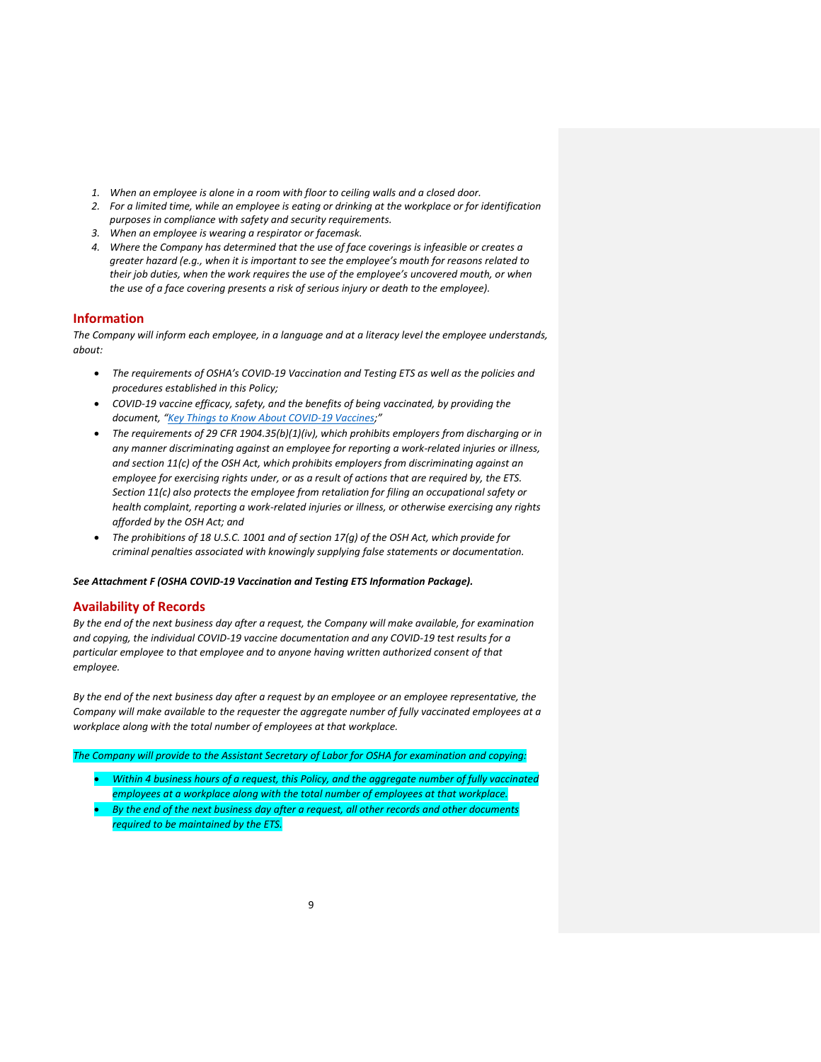- *1. When an employee is alone in a room with floor to ceiling walls and a closed door.*
- *2. For a limited time, while an employee is eating or drinking at the workplace or for identification purposes in compliance with safety and security requirements.*
- *3. When an employee is wearing a respirator or facemask.*
- *4. Where the Company has determined that the use of face coverings is infeasible or creates a greater hazard (e.g., when it is important to see the employee's mouth for reasons related to their job duties, when the work requires the use of the employee's uncovered mouth, or when the use of a face covering presents a risk of serious injury or death to the employee).*

### **Information**

*The Company will inform each employee, in a language and at a literacy level the employee understands, about:* 

- *The requirements of OSHA's COVID-19 Vaccination and Testing ETS as well as the policies and procedures established in this Policy;*
- *COVID-19 vaccine efficacy, safety, and the benefits of being vaccinated, by providing the document, "[Key Things to Know About COVID-19 Vaccines;](https://www.cdc.gov/coronavirus/2019-%20ncov/vaccines/keythingstoknow.html)"*
- *The requirements of 29 CFR 1904.35(b)(1)(iv), which prohibits employers from discharging or in any manner discriminating against an employee for reporting a work-related injuries or illness, and section 11(c) of the OSH Act, which prohibits employers from discriminating against an employee for exercising rights under, or as a result of actions that are required by, the ETS. Section 11(c) also protects the employee from retaliation for filing an occupational safety or health complaint, reporting a work-related injuries or illness, or otherwise exercising any rights afforded by the OSH Act; and*
- *The prohibitions of 18 U.S.C. 1001 and of section 17(g) of the OSH Act, which provide for criminal penalties associated with knowingly supplying false statements or documentation.*

*See Attachment F (OSHA COVID-19 Vaccination and Testing ETS Information Package).*

#### **Availability of Records**

*By the end of the next business day after a request, the Company will make available, for examination and copying, the individual COVID-19 vaccine documentation and any COVID-19 test results for a particular employee to that employee and to anyone having written authorized consent of that employee.* 

*By the end of the next business day after a request by an employee or an employee representative, the Company will make available to the requester the aggregate number of fully vaccinated employees at a workplace along with the total number of employees at that workplace.* 

*The Company will provide to the Assistant Secretary of Labor for OSHA for examination and copying:*

- *Within 4 business hours of a request, this Policy, and the aggregate number of fully vaccinated employees at a workplace along with the total number of employees at that workplace.*
- *By the end of the next business day after a request, all other records and other documents required to be maintained by the ETS.*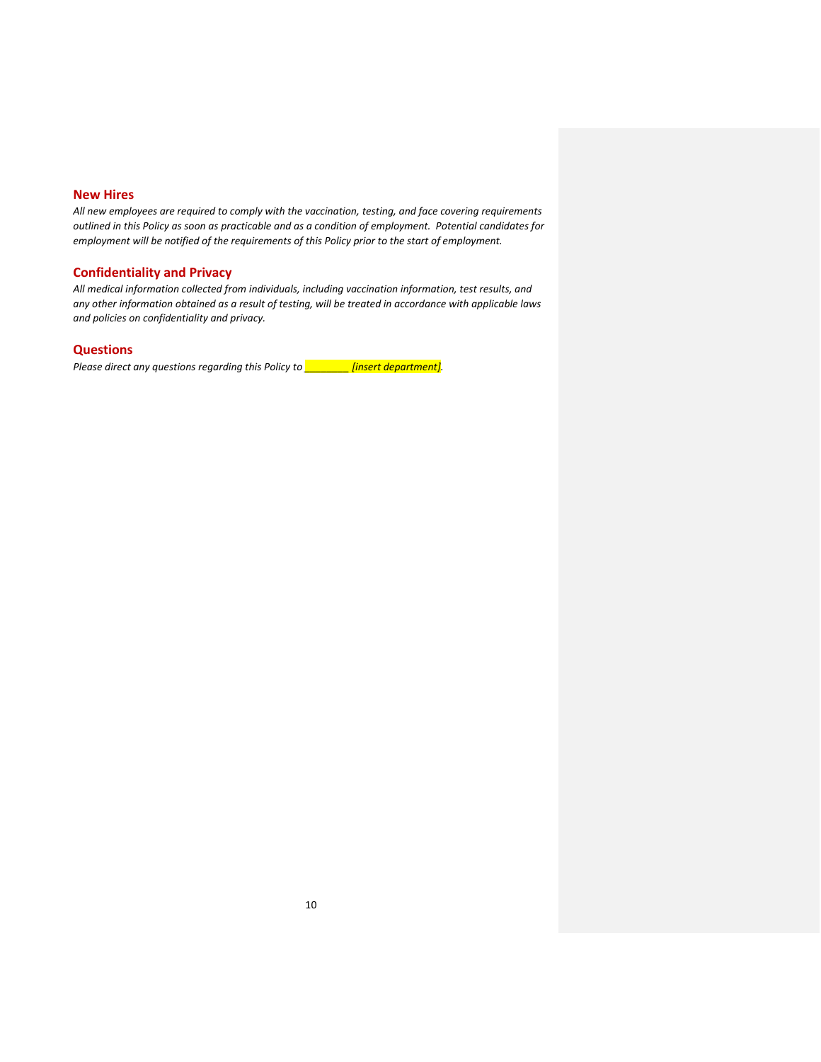## **New Hires**

*All new employees are required to comply with the vaccination, testing, and face covering requirements outlined in this Policy as soon as practicable and as a condition of employment. Potential candidates for employment will be notified of the requirements of this Policy prior to the start of employment.* 

## **Confidentiality and Privacy**

*All medical information collected from individuals, including vaccination information, test results, and any other information obtained as a result of testing, will be treated in accordance with applicable laws and policies on confidentiality and privacy.*

#### **Questions**

*Please direct any questions regarding this Policy to \_\_\_\_\_\_\_\_ [insert department].*